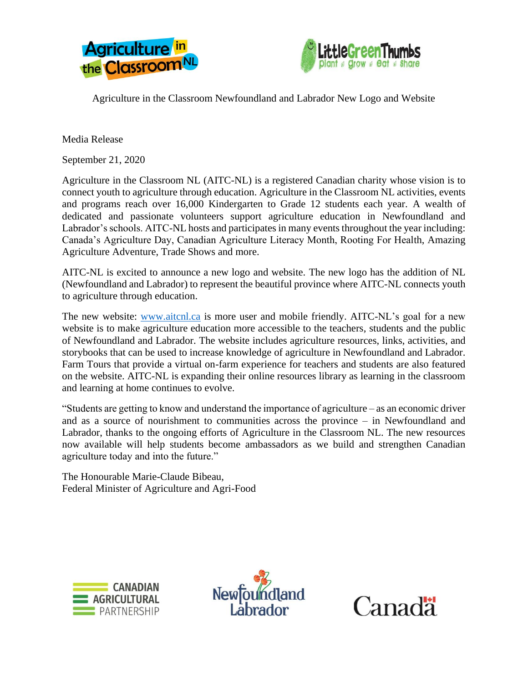



Agriculture in the Classroom Newfoundland and Labrador New Logo and Website

Media Release

September 21, 2020

Agriculture in the Classroom NL (AITC-NL) is a registered Canadian charity whose vision is to connect youth to agriculture through education. Agriculture in the Classroom NL activities, events and programs reach over 16,000 Kindergarten to Grade 12 students each year. A wealth of dedicated and passionate volunteers support agriculture education in Newfoundland and Labrador's schools. AITC-NL hosts and participates in many events throughout the year including: Canada's Agriculture Day, Canadian Agriculture Literacy Month, Rooting For Health, Amazing Agriculture Adventure, Trade Shows and more.

AITC-NL is excited to announce a new logo and website. The new logo has the addition of NL (Newfoundland and Labrador) to represent the beautiful province where AITC-NL connects youth to agriculture through education.

The new website: [www.aitcnl.ca](http://www.aitcnl.ca/) is more user and mobile friendly. AITC-NL's goal for a new website is to make agriculture education more accessible to the teachers, students and the public of Newfoundland and Labrador. The website includes agriculture resources, links, activities, and storybooks that can be used to increase knowledge of agriculture in Newfoundland and Labrador. Farm Tours that provide a virtual on-farm experience for teachers and students are also featured on the website. AITC-NL is expanding their online resources library as learning in the classroom and learning at home continues to evolve.

"Students are getting to know and understand the importance of agriculture – as an economic driver and as a source of nourishment to communities across the province – in Newfoundland and Labrador, thanks to the ongoing efforts of Agriculture in the Classroom NL. The new resources now available will help students become ambassadors as we build and strengthen Canadian agriculture today and into the future."

The Honourable Marie-Claude Bibeau, Federal Minister of Agriculture and Agri-Food